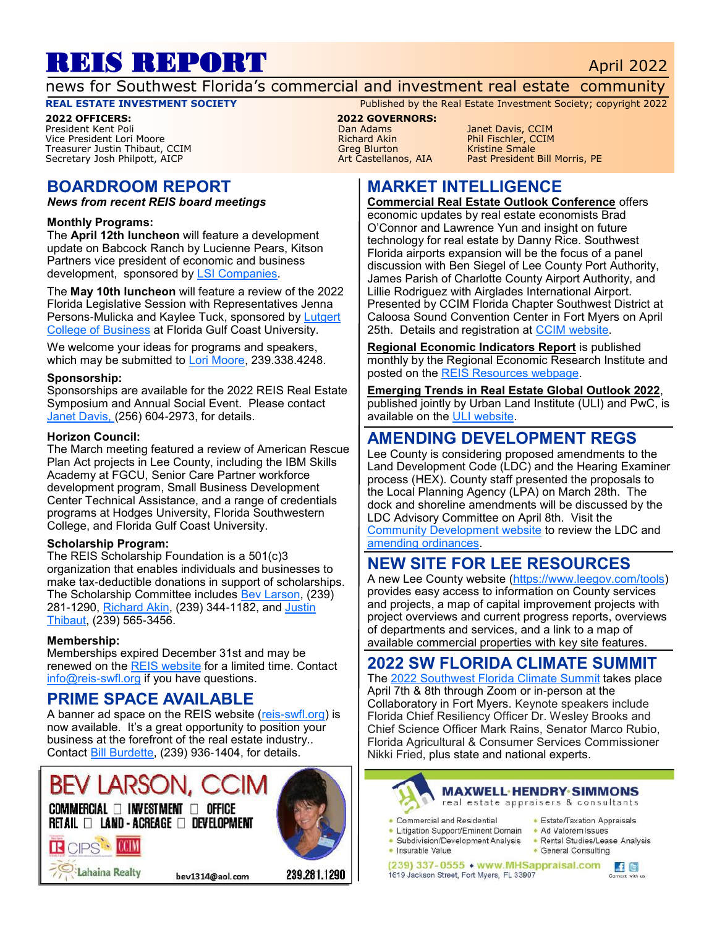# REIS REPORT April 2022

news for Southwest Florida's commercial and investment real estate community

#### **REAL ESTATE INVESTMENT SOCIETY** Published by the Real Estate Investment Society; copyright 2022

**2022 OFFICERS: 2022 GOVERNORS:** Vice President Lori Moore Treasurer Justin Thibaut, CCIM and Since the Castellanos, AIA and Kristine Smale<br>
Secretary Josh Philpott, AICP and Since The Castellanos, AIA and Past President Bill Morris, PE Secretary Josh Philpott, AICP

# **BOARDROOM REPORT**

*News from recent REIS board meetings*

#### **Monthly Programs:**

The **April 12th luncheon** will feature a development update on Babcock Ranch by Lucienne Pears, Kitson Partners vice president of economic and business development, sponsored by [LSI Companies.](http://lsicompanies.com)

The **May 10th luncheon** will feature a review of the 2022 Florida Legislative Session with Representatives Jenna Persons-Mulicka and Kaylee Tuck, sponsored by [Lutgert](https://www.fgcu.edu/cob/)  [College of Business](https://www.fgcu.edu/cob/) at Florida Gulf Coast University.

We welcome your ideas for programs and speakers, which may be submitted to [Lori Moore,](mailto:lmoore@ralaw.com) 239.338.4248.

#### **Sponsorship:**

Sponsorships are available for the 2022 REIS Real Estate Symposium and Annual Social Event. Please contact [Janet Davis, \(](mailto:Janetmariedavis1222@gmail.com)256) 604-2973, for details.

#### **Horizon Council:**

The March meeting featured a review of American Rescue Plan Act projects in Lee County, including the IBM Skills Academy at FGCU, Senior Care Partner workforce development program, Small Business Development Center Technical Assistance, and a range of credentials programs at Hodges University, Florida Southwestern College, and Florida Gulf Coast University.

#### **Scholarship Program:**

The REIS Scholarship Foundation is a 501(c)3 organization that enables individuals and businesses to make tax-deductible donations in support of scholarships. The Scholarship Committee includes Bey Larson, (239) 281-1290, [Richard Akin,](mailto:richard.akin@henlaw.com) (239) 344-1182, and [Justin](mailto:jthibaut@lsicompanies.com)  [Thibaut,](mailto:jthibaut@lsicompanies.com) (239) 565-3456.

#### **Membership:**

Memberships expired December 31st and may be renewed on the [REIS website](http://www.reis-swfl.org) for a limited time. Contact [info@reis-swfl.org](mailto:info@reis-swfl.org) if you have questions.

## **PRIME SPACE AVAILABLE**

A banner ad space on the REIS website ([reis-swfl.org\)](http://www.reis-swfl.org) is now available. It's a great opportunity to position your business at the forefront of the real estate industry.. Contact [Bill Burdette,](mailto:info@reis-swfl.org) (239) 936-1404, for details.

# **BEV LARSON**

 $\mathsf{COMMERCIAL} \ \Box \ \mathsf{INVESTMENT} \ \Box \ \ \mathsf{OFFICE}$ 



239.281.1290

# Lahaina Realty

R CIPS COM

bev1314@aol.com

Pan Adams Janet Davis, CCIM<br>Phil Fischler, CCIM

# **MARKET INTELLIGENCE**

**Commercial Real Estate Outlook Conference** offers economic updates by real estate economists Brad O'Connor and Lawrence Yun and insight on future technology for real estate by Danny Rice. Southwest Florida airports expansion will be the focus of a panel discussion with Ben Siegel of Lee County Port Authority, James Parish of Charlotte County Airport Authority, and Lillie Rodriguez with Airglades International Airport. Presented by CCIM Florida Chapter Southwest District at Caloosa Sound Convention Center in Fort Myers on April 25th. Details and registration at [CCIM website.](http://www.flccim.com/sw-outlook-2022)

**Regional Economic Indicators Report** is published monthly by the Regional Economic Research Institute and posted on the [REIS Resources webpage.](https://www.reis-swfl.org/resources.html)

**Emerging Trends in Real Estate Global Outlook 2022**, published jointly by Urban Land Institute (ULI) and PwC, is available on the [ULI website.](https://knowledge.uli.org/reports/emerging-trends/2022/emerging-trends-in-real-estate-global-outlook)

## **AMENDING DEVELOPMENT REGS**

Lee County is considering proposed amendments to the Land Development Code (LDC) and the Hearing Examiner process (HEX). County staff presented the proposals to the Local Planning Agency (LPA) on March 28th. The dock and shoreline amendments will be discussed by the LDC Advisory Committee on April 8th. Visit the [Community Development website](https://www.leegov.com/dcd/zoning/LDC) to review the LDC and [amending ordinances.](https://www.leegov.com/bocc/ordinances)

# **NEW SITE FOR LEE RESOURCES**

A new Lee County website [\(https://www.leegov.com/tools\)](https://www.leegov.com/tools) provides easy access to information on County services and projects, a map of capital improvement projects with project overviews and current progress reports, overviews of departments and services, and a link to a map of available commercial properties with key site features.

## **2022 SW FLORIDA CLIMATE SUMMIT**

The [2022 Southwest Florida Climate Summit](https://www.chnep.org/2022-climate-summit) takes place April 7th & 8th through Zoom or in-person at the Collaboratory in Fort Myers. Keynote speakers include Florida Chief Resiliency Officer Dr. Wesley Brooks and Chief Science Officer Mark Rains, Senator Marco Rubio, Florida Agricultural & Consumer Services Commissioner Nikki Fried, plus state and national experts.



#### **MAXWELL-HENDRY-SIMMONS**

real estate appraisers & consultants

- Commercial and Residential
- 
- Litigation Support/Eminent Domain Ad Valorem Issues
- Insurable Value
- Estate/Taxation Appraisals
- Subdivision/Development Analysis Rental Studies/Lease Analysis
	- General Consulting

(239) 337-0555 • www.MHSappraisal.com 1619 Jackson Street, Fort Myers, FL 33907